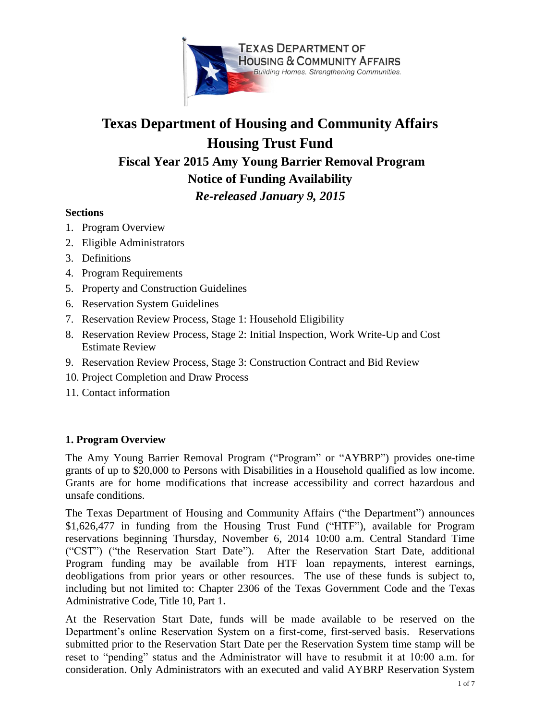

# **Texas Department of Housing and Community Affairs Housing Trust Fund Fiscal Year 2015 Amy Young Barrier Removal Program Notice of Funding Availability**

*Re-released January 9, 2015*

# **Sections**

- 1. Program Overview
- 2. Eligible Administrators
- 3. Definitions
- 4. Program Requirements
- 5. Property and Construction Guidelines
- 6. Reservation System Guidelines
- 7. Reservation Review Process, Stage 1: Household Eligibility
- 8. Reservation Review Process, Stage 2: Initial Inspection, Work Write-Up and Cost Estimate Review
- 9. Reservation Review Process, Stage 3: Construction Contract and Bid Review
- 10. Project Completion and Draw Process
- 11. Contact information

# **1. Program Overview**

The Amy Young Barrier Removal Program ("Program" or "AYBRP") provides one-time grants of up to \$20,000 to Persons with Disabilities in a Household qualified as low income. Grants are for home modifications that increase accessibility and correct hazardous and unsafe conditions.

The Texas Department of Housing and Community Affairs ("the Department") announces \$1,626,477 in funding from the Housing Trust Fund ("HTF"), available for Program reservations beginning Thursday, November 6, 2014 10:00 a.m. Central Standard Time ("CST") ("the Reservation Start Date"). After the Reservation Start Date, additional Program funding may be available from HTF loan repayments, interest earnings, deobligations from prior years or other resources. The use of these funds is subject to, including but not limited to: Chapter 2306 of the Texas Government Code and the Texas Administrative Code, Title 10, Part 1.

At the Reservation Start Date, funds will be made available to be reserved on the Department's online Reservation System on a first-come, first-served basis. Reservations submitted prior to the Reservation Start Date per the Reservation System time stamp will be reset to "pending" status and the Administrator will have to resubmit it at 10:00 a.m. for consideration. Only Administrators with an executed and valid AYBRP Reservation System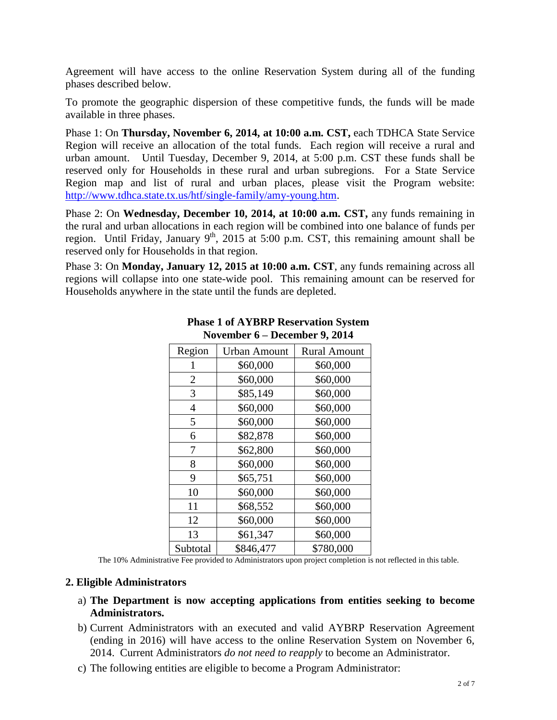Agreement will have access to the online Reservation System during all of the funding phases described below.

To promote the geographic dispersion of these competitive funds, the funds will be made available in three phases.

Phase 1: On **Thursday, November 6, 2014, at 10:00 a.m. CST,** each TDHCA State Service Region will receive an allocation of the total funds. Each region will receive a rural and urban amount.Until Tuesday, December 9, 2014, at 5:00 p.m. CST these funds shall be reserved only for Households in these rural and urban subregions. For a State Service Region map and list of rural and urban places, please visit the Program website: [http://www.tdhca.state.tx.us/htf/single-family/amy-young.htm.](http://www.tdhca.state.tx.us/htf/single-family/amy-young.htm)

Phase 2: On **Wednesday, December 10, 2014, at 10:00 a.m. CST,** any funds remaining in the rural and urban allocations in each region will be combined into one balance of funds per region. Until Friday, January  $9<sup>th</sup>$ , 2015 at 5:00 p.m. CST, this remaining amount shall be reserved only for Households in that region.

Phase 3: On **Monday, January 12, 2015 at 10:00 a.m. CST**, any funds remaining across all regions will collapse into one state-wide pool. This remaining amount can be reserved for Households anywhere in the state until the funds are depleted.

| Region         | <b>Urban Amount</b> | <b>Rural Amount</b> |
|----------------|---------------------|---------------------|
|                | \$60,000            | \$60,000            |
| $\overline{2}$ | \$60,000            | \$60,000            |
| 3              | \$85,149            | \$60,000            |
| 4              | \$60,000            | \$60,000            |
| 5              | \$60,000            | \$60,000            |
| 6              | \$82,878            | \$60,000            |
| 7              | \$62,800            | \$60,000            |
| 8              | \$60,000            | \$60,000            |
| 9              | \$65,751            | \$60,000            |
| 10             | \$60,000            | \$60,000            |
| 11             | \$68,552            | \$60,000            |
| 12             | \$60,000            | \$60,000            |
| 13             | \$61,347            | \$60,000            |
| Subtotal       | \$846,477           | \$780,000           |

#### **Phase 1 of AYBRP Reservation System November 6 – December 9, 2014**

The 10% Administrative Fee provided to Administrators upon project completion is not reflected in this table.

#### **2. Eligible Administrators**

- a) **The Department is now accepting applications from entities seeking to become Administrators.**
- b) Current Administrators with an executed and valid AYBRP Reservation Agreement (ending in 2016) will have access to the online Reservation System on November 6, 2014. Current Administrators *do not need to reapply* to become an Administrator.
- c) The following entities are eligible to become a Program Administrator: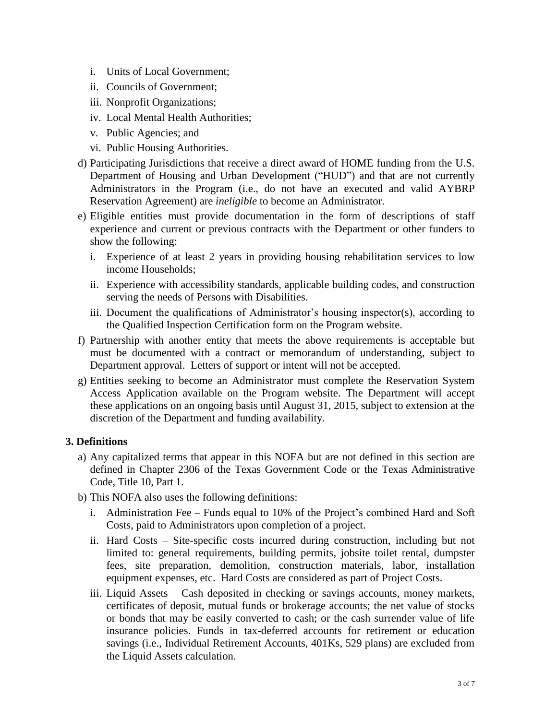- i. Units of Local Government;
- ii. Councils of Government;
- iii. Nonprofit Organizations;
- iv. Local Mental Health Authorities;
- v. Public Agencies; and
- vi. Public Housing Authorities.
- d) Participating Jurisdictions that receive a direct award of HOME funding from the U.S. Department of Housing and Urban Development ("HUD") and that are not currently Administrators in the Program (i.e., do not have an executed and valid AYBRP Reservation Agreement) are *ineligible* to become an Administrator.
- e) Eligible entities must provide documentation in the form of descriptions of staff experience and current or previous contracts with the Department or other funders to show the following:
	- i. Experience of at least 2 years in providing housing rehabilitation services to low income Households;
	- ii. Experience with accessibility standards, applicable building codes, and construction serving the needs of Persons with Disabilities.
	- iii. Document the qualifications of Administrator's housing inspector(s), according to the Qualified Inspection Certification form on the Program website.
- f) Partnership with another entity that meets the above requirements is acceptable but must be documented with a contract or memorandum of understanding, subject to Department approval. Letters of support or intent will not be accepted.
- g) Entities seeking to become an Administrator must complete the Reservation System Access Application available on the Program website. The Department will accept these applications on an ongoing basis until August 31, 2015, subject to extension at the discretion of the Department and funding availability.

#### **3. Definitions**

- a) Any capitalized terms that appear in this NOFA but are not defined in this section are defined in Chapter 2306 of the Texas Government Code or the Texas Administrative Code, Title 10, Part 1.
- b) This NOFA also uses the following definitions:
	- i. Administration Fee Funds equal to 10% of the Project's combined Hard and Soft Costs, paid to Administrators upon completion of a project.
	- ii. Hard Costs Site-specific costs incurred during construction, including but not limited to: general requirements, building permits, jobsite toilet rental, dumpster fees, site preparation, demolition, construction materials, labor, installation equipment expenses, etc. Hard Costs are considered as part of Project Costs.
	- iii. Liquid Assets Cash deposited in checking or savings accounts, money markets, certificates of deposit, mutual funds or brokerage accounts; the net value of stocks or bonds that may be easily converted to cash; or the cash surrender value of life insurance policies. Funds in tax-deferred accounts for retirement or education savings (i.e., Individual Retirement Accounts, 401Ks, 529 plans) are excluded from the Liquid Assets calculation.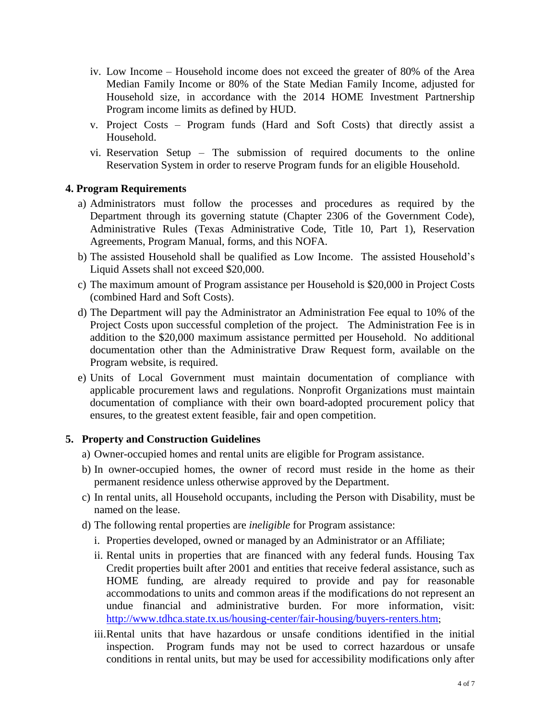- iv. Low Income Household income does not exceed the greater of 80% of the Area Median Family Income or 80% of the State Median Family Income, adjusted for Household size, in accordance with the 2014 HOME Investment Partnership Program income limits as defined by HUD.
- v. Project Costs Program funds (Hard and Soft Costs) that directly assist a Household.
- vi. Reservation Setup The submission of required documents to the online Reservation System in order to reserve Program funds for an eligible Household.

#### **4. Program Requirements**

- a) Administrators must follow the processes and procedures as required by the Department through its governing statute (Chapter 2306 of the Government Code), Administrative Rules (Texas Administrative Code, Title 10, Part 1), Reservation Agreements, Program Manual, forms, and this NOFA.
- b) The assisted Household shall be qualified as Low Income. The assisted Household's Liquid Assets shall not exceed \$20,000.
- c) The maximum amount of Program assistance per Household is \$20,000 in Project Costs (combined Hard and Soft Costs).
- d) The Department will pay the Administrator an Administration Fee equal to 10% of the Project Costs upon successful completion of the project. The Administration Fee is in addition to the \$20,000 maximum assistance permitted per Household. No additional documentation other than the Administrative Draw Request form, available on the Program website, is required.
- e) Units of Local Government must maintain documentation of compliance with applicable procurement laws and regulations. Nonprofit Organizations must maintain documentation of compliance with their own board-adopted procurement policy that ensures, to the greatest extent feasible, fair and open competition.

#### **5. Property and Construction Guidelines**

- a) Owner-occupied homes and rental units are eligible for Program assistance.
- b) In owner-occupied homes, the owner of record must reside in the home as their permanent residence unless otherwise approved by the Department.
- c) In rental units, all Household occupants, including the Person with Disability, must be named on the lease.
- d) The following rental properties are *ineligible* for Program assistance:
	- i. Properties developed, owned or managed by an Administrator or an Affiliate;
	- ii. Rental units in properties that are financed with any federal funds. Housing Tax Credit properties built after 2001 and entities that receive federal assistance, such as HOME funding, are already required to provide and pay for reasonable accommodations to units and common areas if the modifications do not represent an undue financial and administrative burden. For more information, visit: <http://www.tdhca.state.tx.us/housing-center/fair-housing/buyers-renters.htm>;
	- iii.Rental units that have hazardous or unsafe conditions identified in the initial inspection. Program funds may not be used to correct hazardous or unsafe conditions in rental units, but may be used for accessibility modifications only after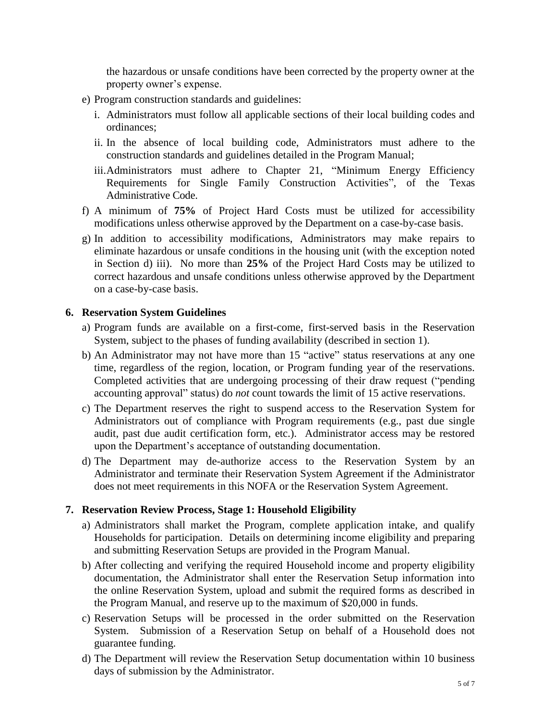the hazardous or unsafe conditions have been corrected by the property owner at the property owner's expense.

- e) Program construction standards and guidelines:
	- i. Administrators must follow all applicable sections of their local building codes and ordinances;
	- ii. In the absence of local building code, Administrators must adhere to the construction standards and guidelines detailed in the Program Manual;
	- iii.Administrators must adhere to Chapter 21, "Minimum Energy Efficiency Requirements for Single Family Construction Activities", of the Texas Administrative Code.
- f) A minimum of **75%** of Project Hard Costs must be utilized for accessibility modifications unless otherwise approved by the Department on a case-by-case basis.
- g) In addition to accessibility modifications, Administrators may make repairs to eliminate hazardous or unsafe conditions in the housing unit (with the exception noted in Section d) iii). No more than **25%** of the Project Hard Costs may be utilized to correct hazardous and unsafe conditions unless otherwise approved by the Department on a case-by-case basis.

#### **6. Reservation System Guidelines**

- a) Program funds are available on a first-come, first-served basis in the Reservation System, subject to the phases of funding availability (described in section 1).
- b) An Administrator may not have more than 15 "active" status reservations at any one time, regardless of the region, location, or Program funding year of the reservations. Completed activities that are undergoing processing of their draw request ("pending accounting approval" status) do *not* count towards the limit of 15 active reservations.
- c) The Department reserves the right to suspend access to the Reservation System for Administrators out of compliance with Program requirements (e.g., past due single audit, past due audit certification form, etc.). Administrator access may be restored upon the Department's acceptance of outstanding documentation.
- d) The Department may de-authorize access to the Reservation System by an Administrator and terminate their Reservation System Agreement if the Administrator does not meet requirements in this NOFA or the Reservation System Agreement.

# **7. Reservation Review Process, Stage 1: Household Eligibility**

- a) Administrators shall market the Program, complete application intake, and qualify Households for participation. Details on determining income eligibility and preparing and submitting Reservation Setups are provided in the Program Manual.
- b) After collecting and verifying the required Household income and property eligibility documentation, the Administrator shall enter the Reservation Setup information into the online Reservation System, upload and submit the required forms as described in the Program Manual, and reserve up to the maximum of \$20,000 in funds.
- c) Reservation Setups will be processed in the order submitted on the Reservation System. Submission of a Reservation Setup on behalf of a Household does not guarantee funding.
- d) The Department will review the Reservation Setup documentation within 10 business days of submission by the Administrator.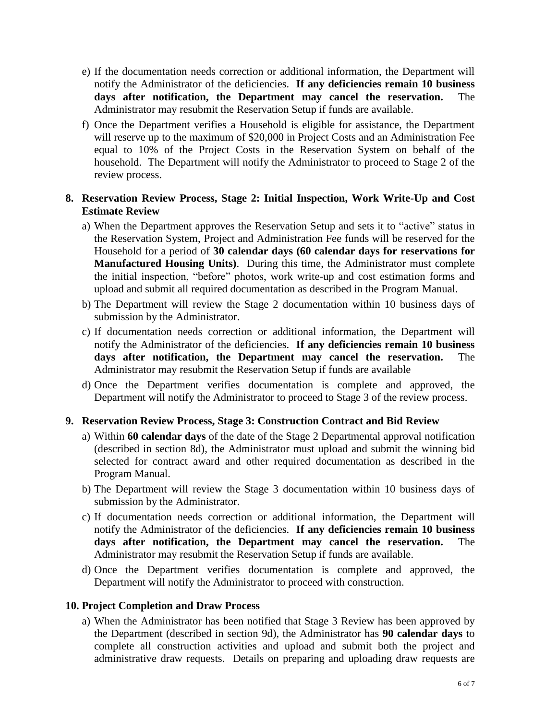- e) If the documentation needs correction or additional information, the Department will notify the Administrator of the deficiencies. **If any deficiencies remain 10 business days after notification, the Department may cancel the reservation.** The Administrator may resubmit the Reservation Setup if funds are available.
- f) Once the Department verifies a Household is eligible for assistance, the Department will reserve up to the maximum of \$20,000 in Project Costs and an Administration Fee equal to 10% of the Project Costs in the Reservation System on behalf of the household. The Department will notify the Administrator to proceed to Stage 2 of the review process.

# **8. Reservation Review Process, Stage 2: Initial Inspection, Work Write-Up and Cost Estimate Review**

- a) When the Department approves the Reservation Setup and sets it to "active" status in the Reservation System, Project and Administration Fee funds will be reserved for the Household for a period of **30 calendar days (60 calendar days for reservations for Manufactured Housing Units)**. During this time, the Administrator must complete the initial inspection, "before" photos, work write-up and cost estimation forms and upload and submit all required documentation as described in the Program Manual.
- b) The Department will review the Stage 2 documentation within 10 business days of submission by the Administrator.
- c) If documentation needs correction or additional information, the Department will notify the Administrator of the deficiencies. **If any deficiencies remain 10 business days after notification, the Department may cancel the reservation.** The Administrator may resubmit the Reservation Setup if funds are available
- d) Once the Department verifies documentation is complete and approved, the Department will notify the Administrator to proceed to Stage 3 of the review process.

#### **9. Reservation Review Process, Stage 3: Construction Contract and Bid Review**

- a) Within **60 calendar days** of the date of the Stage 2 Departmental approval notification (described in section 8d), the Administrator must upload and submit the winning bid selected for contract award and other required documentation as described in the Program Manual.
- b) The Department will review the Stage 3 documentation within 10 business days of submission by the Administrator.
- c) If documentation needs correction or additional information, the Department will notify the Administrator of the deficiencies. **If any deficiencies remain 10 business days after notification, the Department may cancel the reservation.** The Administrator may resubmit the Reservation Setup if funds are available.
- d) Once the Department verifies documentation is complete and approved, the Department will notify the Administrator to proceed with construction.

#### **10. Project Completion and Draw Process**

a) When the Administrator has been notified that Stage 3 Review has been approved by the Department (described in section 9d), the Administrator has **90 calendar days** to complete all construction activities and upload and submit both the project and administrative draw requests. Details on preparing and uploading draw requests are